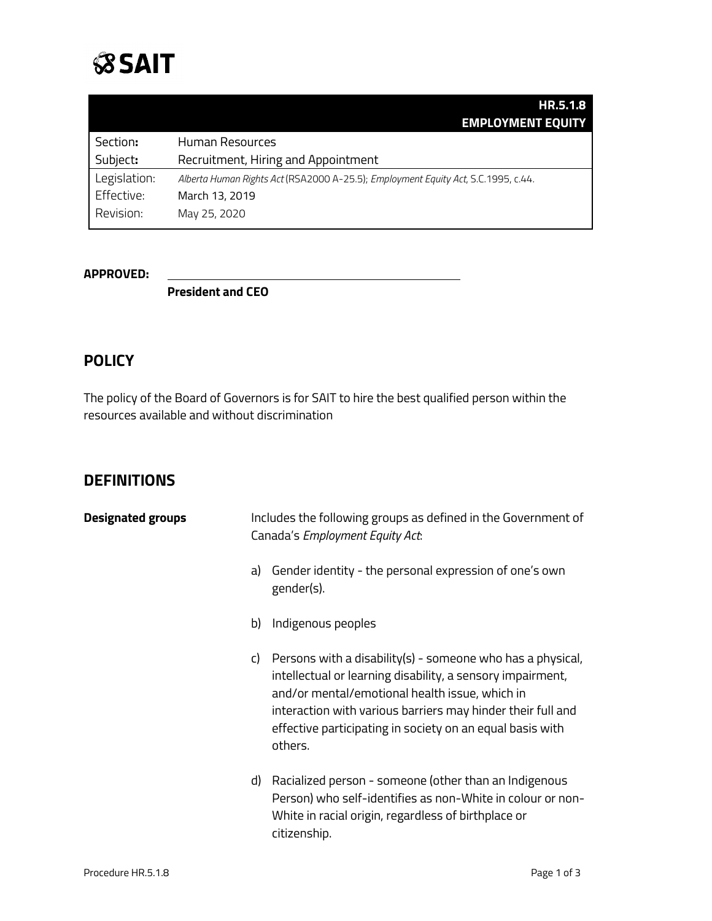

|              | HR.5.1.8<br><b>EMPLOYMENT EQUITY</b>                                              |
|--------------|-----------------------------------------------------------------------------------|
| Section:     | <b>Human Resources</b>                                                            |
| Subject:     | Recruitment, Hiring and Appointment                                               |
| Legislation: | Alberta Human Rights Act (RSA2000 A-25.5); Employment Equity Act, S.C.1995, c.44. |
| Effective:   | March 13, 2019                                                                    |
| Revision:    | May 25, 2020                                                                      |

#### **APPROVED:**

**President and CEO**

### **POLICY**

The policy of the Board of Governors is for SAIT to hire the best qualified person within the resources available and without discrimination

#### **DEFINITIONS**

| <b>Designated groups</b> |    | Includes the following groups as defined in the Government of<br>Canada's Employment Equity Act:                                                                                                                                                                                                                  |
|--------------------------|----|-------------------------------------------------------------------------------------------------------------------------------------------------------------------------------------------------------------------------------------------------------------------------------------------------------------------|
|                          | a) | Gender identity - the personal expression of one's own<br>gender(s).                                                                                                                                                                                                                                              |
|                          | b) | Indigenous peoples                                                                                                                                                                                                                                                                                                |
|                          | C) | Persons with a disability(s) - someone who has a physical,<br>intellectual or learning disability, a sensory impairment,<br>and/or mental/emotional health issue, which in<br>interaction with various barriers may hinder their full and<br>effective participating in society on an equal basis with<br>others. |
|                          | d) | Racialized person - someone (other than an Indigenous<br>Person) who self-identifies as non-White in colour or non-<br>White in racial origin, regardless of birthplace or<br>citizenship.                                                                                                                        |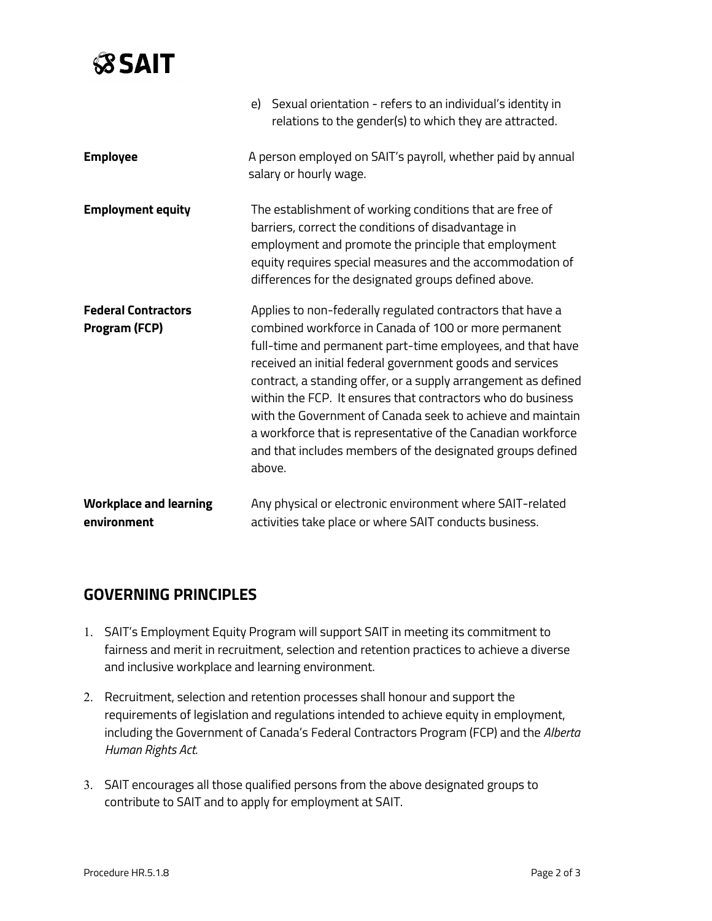# **SSAIT**

|                                                    | e) Sexual orientation - refers to an individual's identity in<br>relations to the gender(s) to which they are attracted.                                                                                                                                                                                                                                                                                                                                                                                                                                                              |  |  |
|----------------------------------------------------|---------------------------------------------------------------------------------------------------------------------------------------------------------------------------------------------------------------------------------------------------------------------------------------------------------------------------------------------------------------------------------------------------------------------------------------------------------------------------------------------------------------------------------------------------------------------------------------|--|--|
| <b>Employee</b>                                    | A person employed on SAIT's payroll, whether paid by annual<br>salary or hourly wage.                                                                                                                                                                                                                                                                                                                                                                                                                                                                                                 |  |  |
| <b>Employment equity</b>                           | The establishment of working conditions that are free of<br>barriers, correct the conditions of disadvantage in<br>employment and promote the principle that employment<br>equity requires special measures and the accommodation of<br>differences for the designated groups defined above.                                                                                                                                                                                                                                                                                          |  |  |
| <b>Federal Contractors</b><br><b>Program (FCP)</b> | Applies to non-federally regulated contractors that have a<br>combined workforce in Canada of 100 or more permanent<br>full-time and permanent part-time employees, and that have<br>received an initial federal government goods and services<br>contract, a standing offer, or a supply arrangement as defined<br>within the FCP. It ensures that contractors who do business<br>with the Government of Canada seek to achieve and maintain<br>a workforce that is representative of the Canadian workforce<br>and that includes members of the designated groups defined<br>above. |  |  |
| <b>Workplace and learning</b><br>environment       | Any physical or electronic environment where SAIT-related<br>activities take place or where SAIT conducts business.                                                                                                                                                                                                                                                                                                                                                                                                                                                                   |  |  |

#### **GOVERNING PRINCIPLES**

- 1. SAIT's Employment Equity Program will support SAIT in meeting its commitment to fairness and merit in recruitment, selection and retention practices to achieve a diverse and inclusive workplace and learning environment.
- 2. Recruitment, selection and retention processes shall honour and support the requirements of legislation and regulations intended to achieve equity in employment, including the Government of Canada's Federal Contractors Program (FCP) and the *Alberta Human Rights Act.*
- 3. SAIT encourages all those qualified persons from the above designated groups to contribute to SAIT and to apply for employment at SAIT.